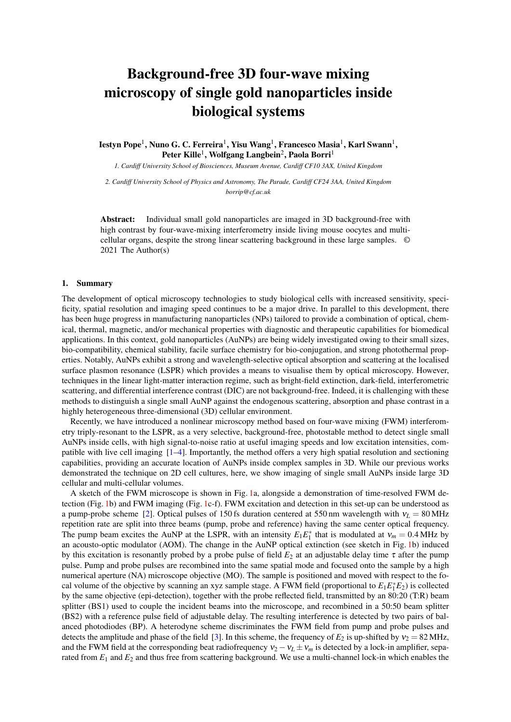## Background-free 3D four-wave mixing microscopy of single gold nanoparticles inside biological systems

Iestyn Pope<sup>1</sup>, Nuno G. C. Ferreira<sup>1</sup>, Yisu Wang<sup>1</sup>, Francesco Masia<sup>1</sup>, Karl Swann<sup>1</sup>, Peter Kille $^1$ , Wolfgang Langbein $^2$ , Paola Borri $^1$ 

*1. Cardiff University School of Biosciences, Museum Avenue, Cardiff CF10 3AX, United Kingdom*

*2. Cardiff University School of Physics and Astronomy, The Parade, Cardiff CF24 3AA, United Kingdom borrip@cf.ac.uk*

Abstract: Individual small gold nanoparticles are imaged in 3D background-free with high contrast by four-wave-mixing interferometry inside living mouse oocytes and multicellular organs, despite the strong linear scattering background in these large samples. © 2021 The Author(s)

## 1. Summary

The development of optical microscopy technologies to study biological cells with increased sensitivity, specificity, spatial resolution and imaging speed continues to be a major drive. In parallel to this development, there has been huge progress in manufacturing nanoparticles (NPs) tailored to provide a combination of optical, chemical, thermal, magnetic, and/or mechanical properties with diagnostic and therapeutic capabilities for biomedical applications. In this context, gold nanoparticles (AuNPs) are being widely investigated owing to their small sizes, bio-compatibility, chemical stability, facile surface chemistry for bio-conjugation, and strong photothermal properties. Notably, AuNPs exhibit a strong and wavelength-selective optical absorption and scattering at the localised surface plasmon resonance (LSPR) which provides a means to visualise them by optical microscopy. However, techniques in the linear light-matter interaction regime, such as bright-field extinction, dark-field, interferometric scattering, and differential interference contrast (DIC) are not background-free. Indeed, it is challenging with these methods to distinguish a single small AuNP against the endogenous scattering, absorption and phase contrast in a highly heterogeneous three-dimensional (3D) cellular environment.

Recently, we have introduced a nonlinear microscopy method based on four-wave mixing (FWM) interferometry triply-resonant to the LSPR, as a very selective, background-free, photostable method to detect single small AuNPs inside cells, with high signal-to-noise ratio at useful imaging speeds and low excitation intensities, compatible with live cell imaging [\[1](#page-2-0)[–4\]](#page-2-1). Importantly, the method offers a very high spatial resolution and sectioning capabilities, providing an accurate location of AuNPs inside complex samples in 3D. While our previous works demonstrated the technique on 2D cell cultures, here, we show imaging of single small AuNPs inside large 3D cellular and multi-cellular volumes.

A sketch of the FWM microscope is shown in Fig. [1a](#page-1-0), alongside a demonstration of time-resolved FWM detection (Fig. [1b](#page-1-0)) and FWM imaging (Fig. [1c](#page-1-0)-f). FWM excitation and detection in this set-up can be understood as a pump-probe scheme [\[2\]](#page-2-2). Optical pulses of 150 fs duration centered at 550 nm wavelength with  $v_L = 80 \text{ MHz}$ repetition rate are split into three beams (pump, probe and reference) having the same center optical frequency. The pump beam excites the AuNP at the LSPR, with an intensity  $E_1 E_1^*$  that is modulated at  $v_m = 0.4 \text{ MHz}$  by an acousto-optic modulator (AOM). The change in the AuNP optical extinction (see sketch in Fig. [1b](#page-1-0)) induced by this excitation is resonantly probed by a probe pulse of field  $E_2$  at an adjustable delay time  $\tau$  after the pump pulse. Pump and probe pulses are recombined into the same spatial mode and focused onto the sample by a high numerical aperture (NA) microscope objective (MO). The sample is positioned and moved with respect to the focal volume of the objective by scanning an xyz sample stage. A FWM field (proportional to  $E_1E_1^*E_2$ ) is collected by the same objective (epi-detection), together with the probe reflected field, transmitted by an 80:20 (T:R) beam splitter (BS1) used to couple the incident beams into the microscope, and recombined in a 50:50 beam splitter (BS2) with a reference pulse field of adjustable delay. The resulting interference is detected by two pairs of balanced photodiodes (BP). A heterodyne scheme discriminates the FWM field from pump and probe pulses and detects the amplitude and phase of the field [\[3\]](#page-2-3). In this scheme, the frequency of  $E_2$  is up-shifted by  $v_2 = 82 \text{ MHz}$ , and the FWM field at the corresponding beat radiofrequency  $v_2 - v_L \pm v_m$  is detected by a lock-in amplifier, separated from  $E_1$  and  $E_2$  and thus free from scattering background. We use a multi-channel lock-in which enables the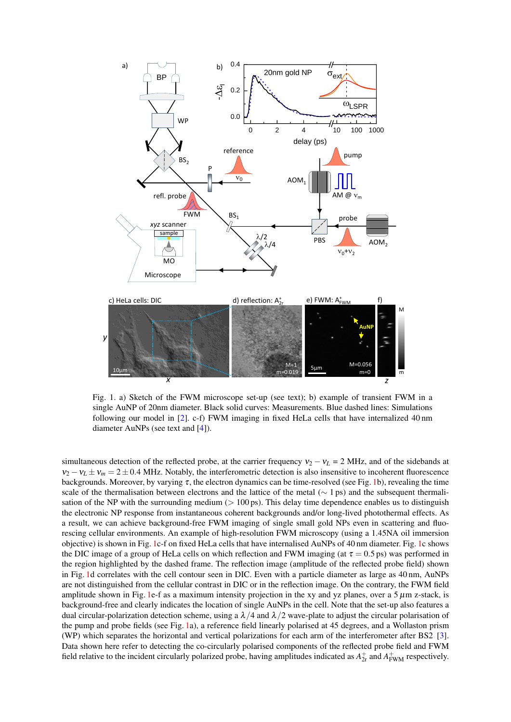

<span id="page-1-0"></span>Fig. 1. a) Sketch of the FWM microscope set-up (see text); b) example of transient FWM in a single AuNP of 20nm diameter. Black solid curves: Measurements. Blue dashed lines: Simulations following our model in [\[2\]](#page-2-2). c-f) FWM imaging in fixed HeLa cells that have internalized 40 nm diameter AuNPs (see text and [\[4\]](#page-2-1)).

simultaneous detection of the reflected probe, at the carrier frequency  $v_2 - v_L = 2$  MHz, and of the sidebands at  $v_2 - v_L \pm v_m = 2 \pm 0.4$  MHz. Notably, the interferometric detection is also insensitive to incoherent fluorescence backgrounds. Moreover, by varying  $\tau$ , the electron dynamics can be time-resolved (see Fig. [1b](#page-1-0)), revealing the time scale of the thermalisation between electrons and the lattice of the metal ( $\sim$  1 ps) and the subsequent thermalisation of the NP with the surrounding medium ( $> 100 \text{ ps}$ ). This delay time dependence enables us to distinguish the electronic NP response from instantaneous coherent backgrounds and/or long-lived photothermal effects. As a result, we can achieve background-free FWM imaging of single small gold NPs even in scattering and fluorescing cellular environments. An example of high-resolution FWM microscopy (using a 1.45NA oil immersion objective) is shown in Fig. [1c](#page-1-0)-f on fixed HeLa cells that have internalised AuNPs of 40 nm diameter. Fig. [1c](#page-1-0) shows the DIC image of a group of HeLa cells on which reflection and FWM imaging (at  $\tau = 0.5$  ps) was performed in the region highlighted by the dashed frame. The reflection image (amplitude of the reflected probe field) shown in Fig. [1d](#page-1-0) correlates with the cell contour seen in DIC. Even with a particle diameter as large as 40 nm, AuNPs are not distinguished from the cellular contrast in DIC or in the reflection image. On the contrary, the FWM field amplitude shown in Fig. [1e](#page-1-0)-f as a maximum intensity projection in the xy and yz planes, over a  $5 \mu$ m z-stack, is background-free and clearly indicates the location of single AuNPs in the cell. Note that the set-up also features a dual circular-polarization detection scheme, using a  $\lambda/4$  and  $\lambda/2$  wave-plate to adjust the circular polarisation of the pump and probe fields (see Fig. [1a](#page-1-0)), a reference field linearly polarised at 45 degrees, and a Wollaston prism (WP) which separates the horizontal and vertical polarizations for each arm of the interferometer after BS2 [\[3\]](#page-2-3). Data shown here refer to detecting the co-circularly polarised components of the reflected probe field and FWM field relative to the incident circularly polarized probe, having amplitudes indicated as  $A_{2r}^+$  and  $A_{FWM}^+$  respectively.